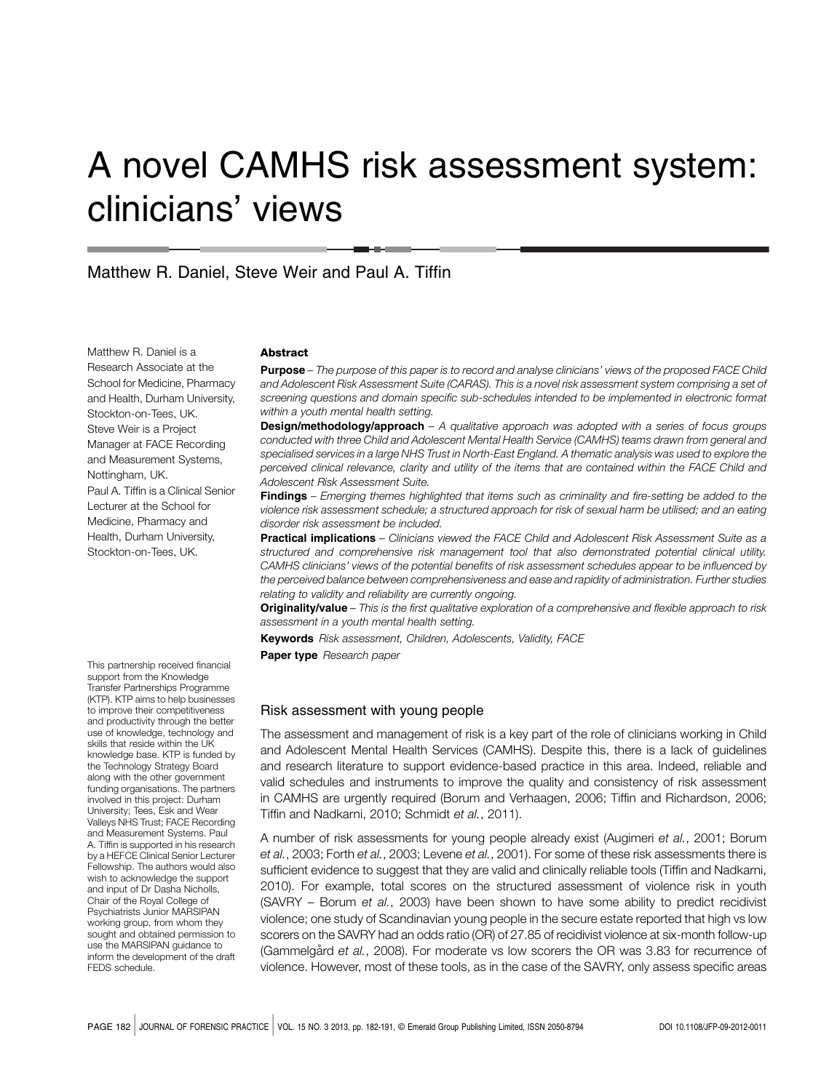# A novel CAMHS risk assessment system: clinicians' views

# Matthew R. Daniel, Steve Weir and Paul A. Tiffin

Matthew R. Daniel is a Research Associate at the School for Medicine, Pharmacy and Health, Durham University, Stockton-on-Tees, UK. Steve Weir is a Project Manager at FACE Recording and Measurement Systems, Nottingham, UK. Paul A. Tiffin is a Clinical Senior Lecturer at the School for Medicine, Pharmacy and Health, Durham University, Stockton-on-Tees, UK.

#### Abstract

Purpose – The purpose of this paper is to record and analyse clinicians' views of the proposed FACE Child and Adolescent Risk Assessment Suite (CARAS). This is a novel risk assessment system comprising a set of screening questions and domain specific sub-schedules intended to be implemented in electronic format within a youth mental health setting.

**Design/methodology/approach** – A qualitative approach was adopted with a series of focus groups conducted with three Child and Adolescent Mental Health Service (CAMHS) teams drawn from general and specialised services in a large NHS Trust in North-East England. A thematic analysis was used to explore the perceived clinical relevance, clarity and utility of the items that are contained within the FACE Child and Adolescent Risk Assessment Suite.

Findings – Emerging themes highlighted that items such as criminality and fire-setting be added to the violence risk assessment schedule; a structured approach for risk of sexual harm be utilised; and an eating disorder risk assessment be included.

Practical implications - Clinicians viewed the FACE Child and Adolescent Risk Assessment Suite as a structured and comprehensive risk management tool that also demonstrated potential clinical utility. CAMHS clinicians' views of the potential benefits of risk assessment schedules appear to be influenced by the perceived balance between comprehensiveness and ease and rapidity of administration. Further studies relating to validity and reliability are currently ongoing.

Originality/value – This is the first qualitative exploration of a comprehensive and flexible approach to risk assessment in a youth mental health setting.

Keywords Risk assessment, Children, Adolescents, Validity, FACE Paper type Research paper

# Risk assessment with young people

The assessment and management of risk is a key part of the role of clinicians working in Child and Adolescent Mental Health Services (CAMHS). Despite this, there is a lack of guidelines and research literature to support evidence-based practice in this area. Indeed, reliable and valid schedules and instruments to improve the quality and consistency of risk assessment in CAMHS are urgently required (Borum and Verhaagen, 2006; Tiffin and Richardson, 2006; Tiffin and Nadkarni, 2010; Schmidt et al., 2011).

A number of risk assessments for young people already exist (Augimeri et al., 2001; Borum et al., 2003; Forth et al., 2003; Levene et al., 2001). For some of these risk assessments there is sufficient evidence to suggest that they are valid and clinically reliable tools (Tiffin and Nadkarni, 2010). For example, total scores on the structured assessment of violence risk in youth (SAVRY – Borum et al., 2003) have been shown to have some ability to predict recidivist violence; one study of Scandinavian young people in the secure estate reported that high vs low scorers on the SAVRY had an odds ratio (OR) of 27.85 of recidivist violence at six-month follow-up (Gammelgård et al., 2008). For moderate vs low scorers the OR was 3.83 for recurrence of violence. However, most of these tools, as in the case of the SAVRY, only assess specific areas

This partnership received financial support from the Knowledge Transfer Partnerships Programme (KTP). KTP aims to help businesses to improve their competitiveness and productivity through the better use of knowledge, technology and skills that reside within the UK knowledge base. KTP is funded by the Technology Strategy Board along with the other government funding organisations. The partners involved in this project: Durham University; Tees, Esk and Wear Valleys NHS Trust; FACE Recording and Measurement Systems. Paul A. Tiffin is supported in his research by a HEFCE Clinical Senior Lecturer Fellowship. The authors would also wish to acknowledge the support and input of Dr Dasha Nicholls, Chair of the Royal College of Psychiatrists Junior MARSIPAN working group, from whom they sought and obtained permission to use the MARSIPAN guidance to inform the development of the draft FEDS schedule.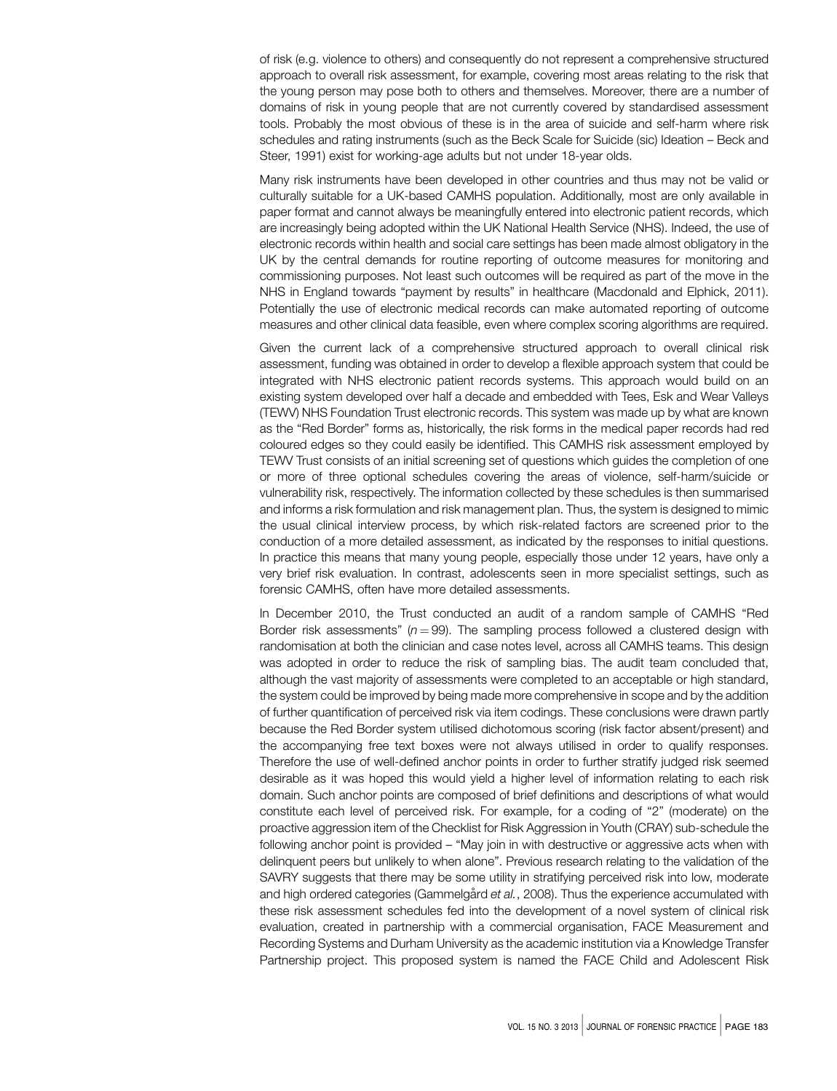of risk (e.g. violence to others) and consequently do not represent a comprehensive structured approach to overall risk assessment, for example, covering most areas relating to the risk that the young person may pose both to others and themselves. Moreover, there are a number of domains of risk in young people that are not currently covered by standardised assessment tools. Probably the most obvious of these is in the area of suicide and self-harm where risk schedules and rating instruments (such as the Beck Scale for Suicide (sic) Ideation – Beck and Steer, 1991) exist for working-age adults but not under 18-year olds.

Many risk instruments have been developed in other countries and thus may not be valid or culturally suitable for a UK-based CAMHS population. Additionally, most are only available in paper format and cannot always be meaningfully entered into electronic patient records, which are increasingly being adopted within the UK National Health Service (NHS). Indeed, the use of electronic records within health and social care settings has been made almost obligatory in the UK by the central demands for routine reporting of outcome measures for monitoring and commissioning purposes. Not least such outcomes will be required as part of the move in the NHS in England towards "payment by results" in healthcare (Macdonald and Elphick, 2011). Potentially the use of electronic medical records can make automated reporting of outcome measures and other clinical data feasible, even where complex scoring algorithms are required.

Given the current lack of a comprehensive structured approach to overall clinical risk assessment, funding was obtained in order to develop a flexible approach system that could be integrated with NHS electronic patient records systems. This approach would build on an existing system developed over half a decade and embedded with Tees, Esk and Wear Valleys (TEWV) NHS Foundation Trust electronic records. This system was made up by what are known as the "Red Border" forms as, historically, the risk forms in the medical paper records had red coloured edges so they could easily be identified. This CAMHS risk assessment employed by TEWV Trust consists of an initial screening set of questions which guides the completion of one or more of three optional schedules covering the areas of violence, self-harm/suicide or vulnerability risk, respectively. The information collected by these schedules is then summarised and informs a risk formulation and risk management plan. Thus, the system is designed to mimic the usual clinical interview process, by which risk-related factors are screened prior to the conduction of a more detailed assessment, as indicated by the responses to initial questions. In practice this means that many young people, especially those under 12 years, have only a very brief risk evaluation. In contrast, adolescents seen in more specialist settings, such as forensic CAMHS, often have more detailed assessments.

In December 2010, the Trust conducted an audit of a random sample of CAMHS "Red Border risk assessments" ( $n = 99$ ). The sampling process followed a clustered design with randomisation at both the clinician and case notes level, across all CAMHS teams. This design was adopted in order to reduce the risk of sampling bias. The audit team concluded that, although the vast majority of assessments were completed to an acceptable or high standard, the system could be improved by being made more comprehensive in scope and by the addition of further quantification of perceived risk via item codings. These conclusions were drawn partly because the Red Border system utilised dichotomous scoring (risk factor absent/present) and the accompanying free text boxes were not always utilised in order to qualify responses. Therefore the use of well-defined anchor points in order to further stratify judged risk seemed desirable as it was hoped this would yield a higher level of information relating to each risk domain. Such anchor points are composed of brief definitions and descriptions of what would constitute each level of perceived risk. For example, for a coding of "2" (moderate) on the proactive aggression item of the Checklist for Risk Aggression in Youth (CRAY) sub-schedule the following anchor point is provided – "May join in with destructive or aggressive acts when with delinquent peers but unlikely to when alone". Previous research relating to the validation of the SAVRY suggests that there may be some utility in stratifying perceived risk into low, moderate and high ordered categories (Gammelgård et al., 2008). Thus the experience accumulated with these risk assessment schedules fed into the development of a novel system of clinical risk evaluation, created in partnership with a commercial organisation, FACE Measurement and Recording Systems and Durham University as the academic institution via a Knowledge Transfer Partnership project. This proposed system is named the FACE Child and Adolescent Risk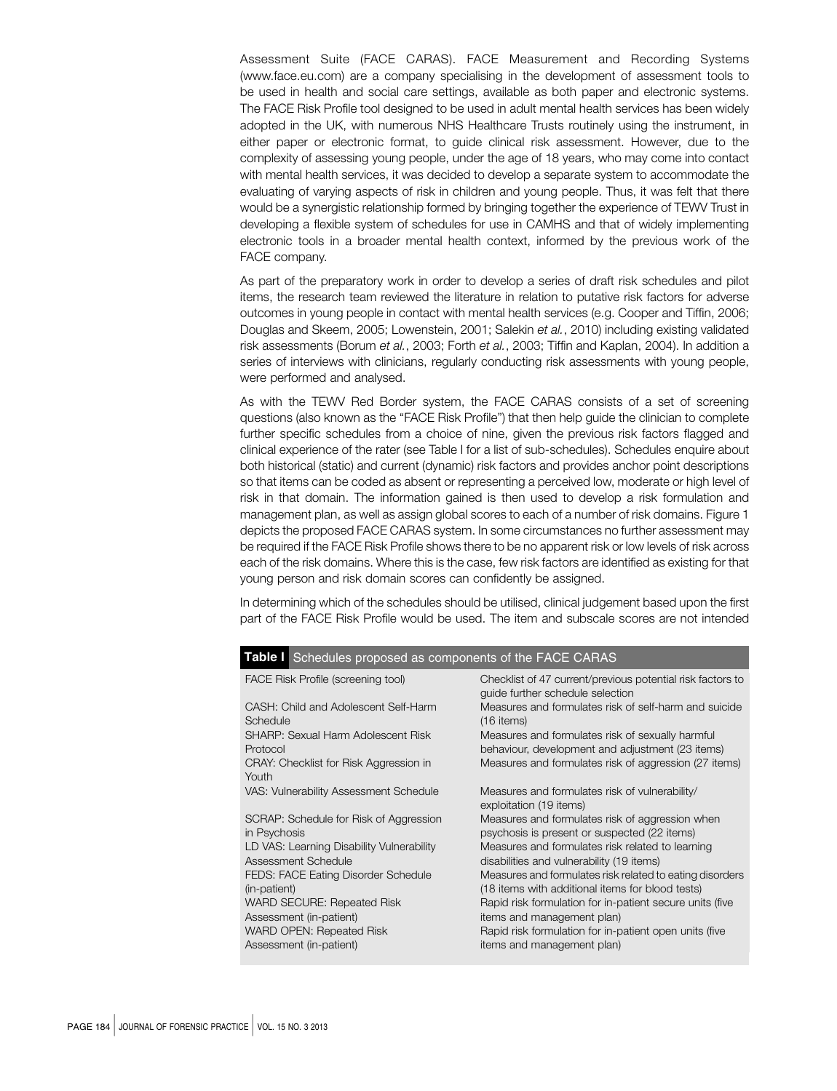Assessment Suite (FACE CARAS). FACE Measurement and Recording Systems (www.face.eu.com) are a company specialising in the development of assessment tools to be used in health and social care settings, available as both paper and electronic systems. The FACE Risk Profile tool designed to be used in adult mental health services has been widely adopted in the UK, with numerous NHS Healthcare Trusts routinely using the instrument, in either paper or electronic format, to guide clinical risk assessment. However, due to the complexity of assessing young people, under the age of 18 years, who may come into contact with mental health services, it was decided to develop a separate system to accommodate the evaluating of varying aspects of risk in children and young people. Thus, it was felt that there would be a synergistic relationship formed by bringing together the experience of TEWV Trust in developing a flexible system of schedules for use in CAMHS and that of widely implementing electronic tools in a broader mental health context, informed by the previous work of the FACE company.

As part of the preparatory work in order to develop a series of draft risk schedules and pilot items, the research team reviewed the literature in relation to putative risk factors for adverse outcomes in young people in contact with mental health services (e.g. Cooper and Tiffin, 2006; Douglas and Skeem, 2005; Lowenstein, 2001; Salekin et al., 2010) including existing validated risk assessments (Borum et al., 2003; Forth et al., 2003; Tiffin and Kaplan, 2004). In addition a series of interviews with clinicians, regularly conducting risk assessments with young people, were performed and analysed.

As with the TEWV Red Border system, the FACE CARAS consists of a set of screening questions (also known as the "FACE Risk Profile") that then help guide the clinician to complete further specific schedules from a choice of nine, given the previous risk factors flagged and clinical experience of the rater (see Table I for a list of sub-schedules). Schedules enquire about both historical (static) and current (dynamic) risk factors and provides anchor point descriptions so that items can be coded as absent or representing a perceived low, moderate or high level of risk in that domain. The information gained is then used to develop a risk formulation and management plan, as well as assign global scores to each of a number of risk domains. Figure 1 depicts the proposed FACE CARAS system. In some circumstances no further assessment may be required if the FACE Risk Profile shows there to be no apparent risk or low levels of risk across each of the risk domains. Where this is the case, few risk factors are identified as existing for that young person and risk domain scores can confidently be assigned.

In determining which of the schedules should be utilised, clinical judgement based upon the first part of the FACE Risk Profile would be used. The item and subscale scores are not intended

Table I Schedules proposed as components of the FACE CARAS

| FACE Risk Profile (screening tool)                               | Checklist of 47 current/previous potential risk factors to<br>guide further schedule selection               |
|------------------------------------------------------------------|--------------------------------------------------------------------------------------------------------------|
| CASH: Child and Adolescent Self-Harm<br>Schedule                 | Measures and formulates risk of self-harm and suicide<br>(16 items)                                          |
| <b>SHARP: Sexual Harm Adolescent Risk</b><br>Protocol            | Measures and formulates risk of sexually harmful<br>behaviour, development and adjustment (23 items)         |
| CRAY: Checklist for Risk Aggression in<br>Youth                  | Measures and formulates risk of aggression (27 items)                                                        |
| VAS: Vulnerability Assessment Schedule                           | Measures and formulates risk of vulnerability/<br>exploitation (19 items)                                    |
| SCRAP: Schedule for Risk of Aggression<br>in Psychosis           | Measures and formulates risk of aggression when<br>psychosis is present or suspected (22 items)              |
| LD VAS: Learning Disability Vulnerability<br>Assessment Schedule | Measures and formulates risk related to learning<br>disabilities and vulnerability (19 items)                |
| <b>FEDS: FACE Eating Disorder Schedule</b><br>(in-patient)       | Measures and formulates risk related to eating disorders<br>(18 items with additional items for blood tests) |
| <b>WARD SECURE: Repeated Risk</b><br>Assessment (in-patient)     | Rapid risk formulation for in-patient secure units (five<br>items and management plan)                       |
| <b>WARD OPEN: Repeated Risk</b><br>Assessment (in-patient)       | Rapid risk formulation for in-patient open units (five<br>items and management plan)                         |
|                                                                  |                                                                                                              |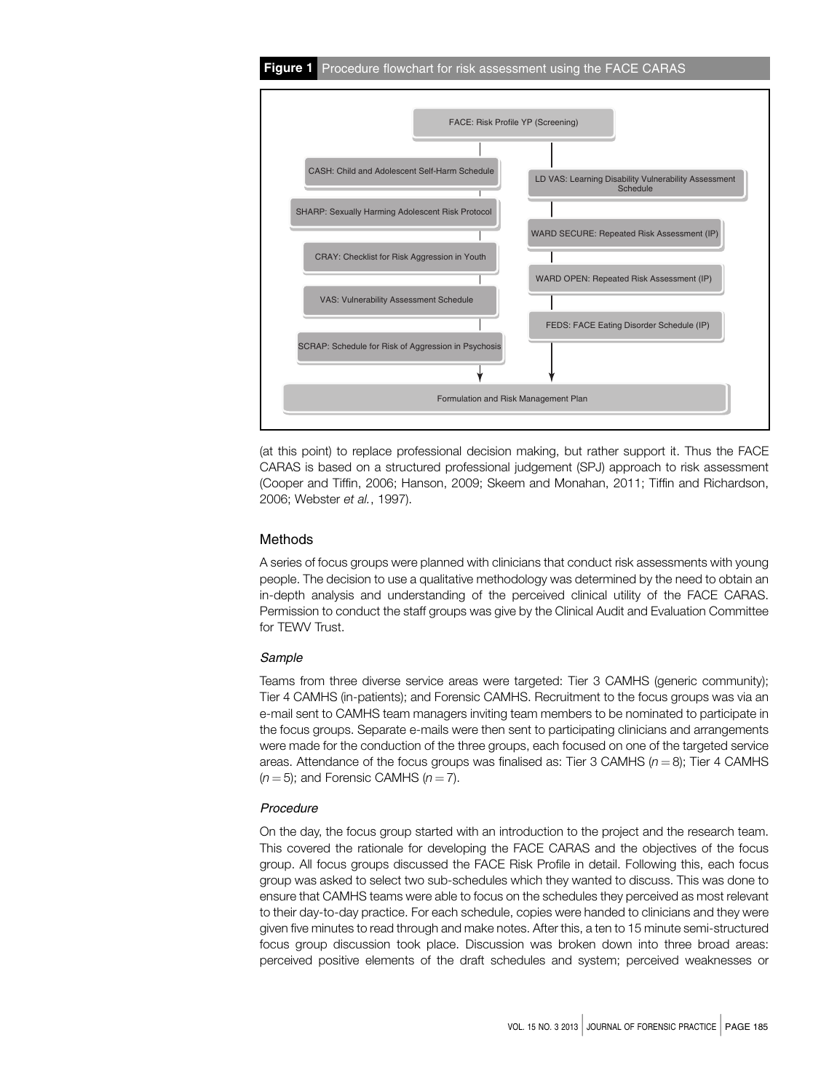

(at this point) to replace professional decision making, but rather support it. Thus the FACE CARAS is based on a structured professional judgement (SPJ) approach to risk assessment (Cooper and Tiffin, 2006; Hanson, 2009; Skeem and Monahan, 2011; Tiffin and Richardson, 2006; Webster et al., 1997).

# Methods

A series of focus groups were planned with clinicians that conduct risk assessments with young people. The decision to use a qualitative methodology was determined by the need to obtain an in-depth analysis and understanding of the perceived clinical utility of the FACE CARAS. Permission to conduct the staff groups was give by the Clinical Audit and Evaluation Committee for TEWV Trust.

## Sample

Teams from three diverse service areas were targeted: Tier 3 CAMHS (generic community); Tier 4 CAMHS (in-patients); and Forensic CAMHS. Recruitment to the focus groups was via an e-mail sent to CAMHS team managers inviting team members to be nominated to participate in the focus groups. Separate e-mails were then sent to participating clinicians and arrangements were made for the conduction of the three groups, each focused on one of the targeted service areas. Attendance of the focus groups was finalised as: Tier 3 CAMHS ( $n = 8$ ); Tier 4 CAMHS  $(n = 5)$ ; and Forensic CAMHS  $(n = 7)$ .

## **Procedure**

On the day, the focus group started with an introduction to the project and the research team. This covered the rationale for developing the FACE CARAS and the objectives of the focus group. All focus groups discussed the FACE Risk Profile in detail. Following this, each focus group was asked to select two sub-schedules which they wanted to discuss. This was done to ensure that CAMHS teams were able to focus on the schedules they perceived as most relevant to their day-to-day practice. For each schedule, copies were handed to clinicians and they were given five minutes to read through and make notes. After this, a ten to 15 minute semi-structured focus group discussion took place. Discussion was broken down into three broad areas: perceived positive elements of the draft schedules and system; perceived weaknesses or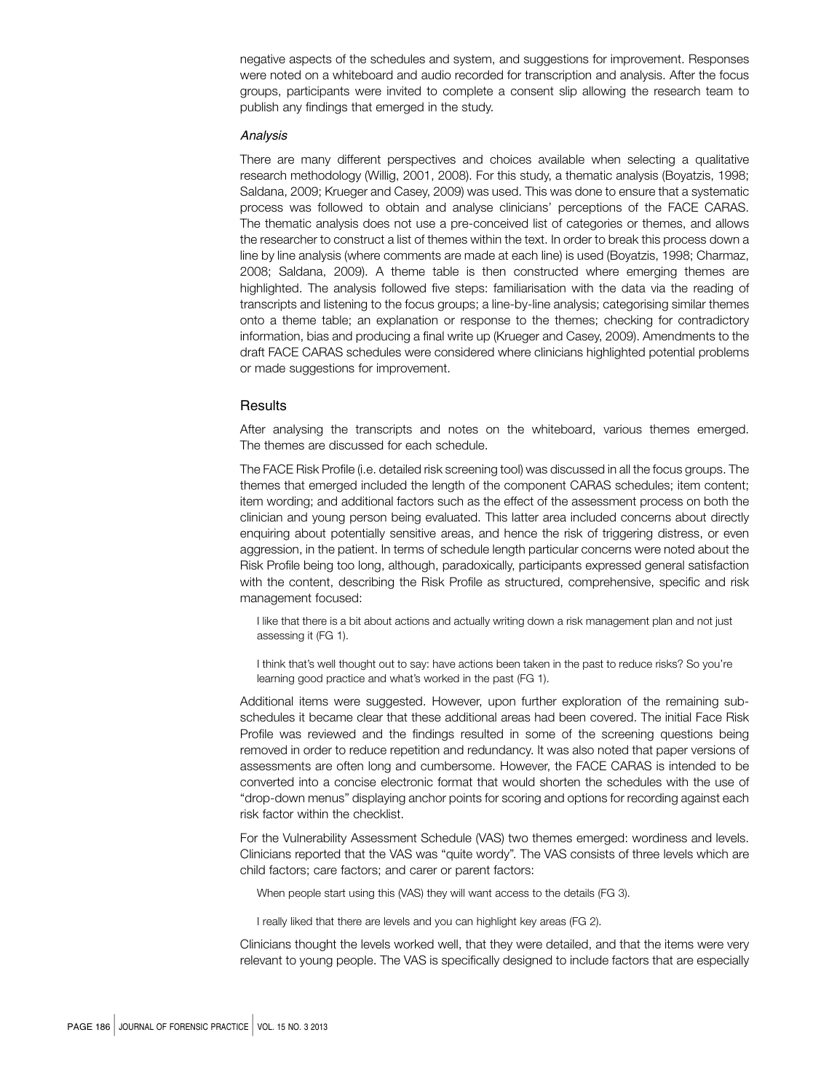negative aspects of the schedules and system, and suggestions for improvement. Responses were noted on a whiteboard and audio recorded for transcription and analysis. After the focus groups, participants were invited to complete a consent slip allowing the research team to publish any findings that emerged in the study.

#### Analysis

There are many different perspectives and choices available when selecting a qualitative research methodology (Willig, 2001, 2008). For this study, a thematic analysis (Boyatzis, 1998; Saldana, 2009; Krueger and Casey, 2009) was used. This was done to ensure that a systematic process was followed to obtain and analyse clinicians' perceptions of the FACE CARAS. The thematic analysis does not use a pre-conceived list of categories or themes, and allows the researcher to construct a list of themes within the text. In order to break this process down a line by line analysis (where comments are made at each line) is used (Boyatzis, 1998; Charmaz, 2008; Saldana, 2009). A theme table is then constructed where emerging themes are highlighted. The analysis followed five steps: familiarisation with the data via the reading of transcripts and listening to the focus groups; a line-by-line analysis; categorising similar themes onto a theme table; an explanation or response to the themes; checking for contradictory information, bias and producing a final write up (Krueger and Casey, 2009). Amendments to the draft FACE CARAS schedules were considered where clinicians highlighted potential problems or made suggestions for improvement.

#### **Results**

After analysing the transcripts and notes on the whiteboard, various themes emerged. The themes are discussed for each schedule.

The FACE Risk Profile (i.e. detailed risk screening tool) was discussed in all the focus groups. The themes that emerged included the length of the component CARAS schedules; item content; item wording; and additional factors such as the effect of the assessment process on both the clinician and young person being evaluated. This latter area included concerns about directly enquiring about potentially sensitive areas, and hence the risk of triggering distress, or even aggression, in the patient. In terms of schedule length particular concerns were noted about the Risk Profile being too long, although, paradoxically, participants expressed general satisfaction with the content, describing the Risk Profile as structured, comprehensive, specific and risk management focused:

I like that there is a bit about actions and actually writing down a risk management plan and not just assessing it (FG 1).

I think that's well thought out to say: have actions been taken in the past to reduce risks? So you're learning good practice and what's worked in the past (FG 1).

Additional items were suggested. However, upon further exploration of the remaining subschedules it became clear that these additional areas had been covered. The initial Face Risk Profile was reviewed and the findings resulted in some of the screening questions being removed in order to reduce repetition and redundancy. It was also noted that paper versions of assessments are often long and cumbersome. However, the FACE CARAS is intended to be converted into a concise electronic format that would shorten the schedules with the use of "drop-down menus" displaying anchor points for scoring and options for recording against each risk factor within the checklist.

For the Vulnerability Assessment Schedule (VAS) two themes emerged: wordiness and levels. Clinicians reported that the VAS was "quite wordy". The VAS consists of three levels which are child factors; care factors; and carer or parent factors:

When people start using this (VAS) they will want access to the details (FG 3).

I really liked that there are levels and you can highlight key areas (FG 2).

Clinicians thought the levels worked well, that they were detailed, and that the items were very relevant to young people. The VAS is specifically designed to include factors that are especially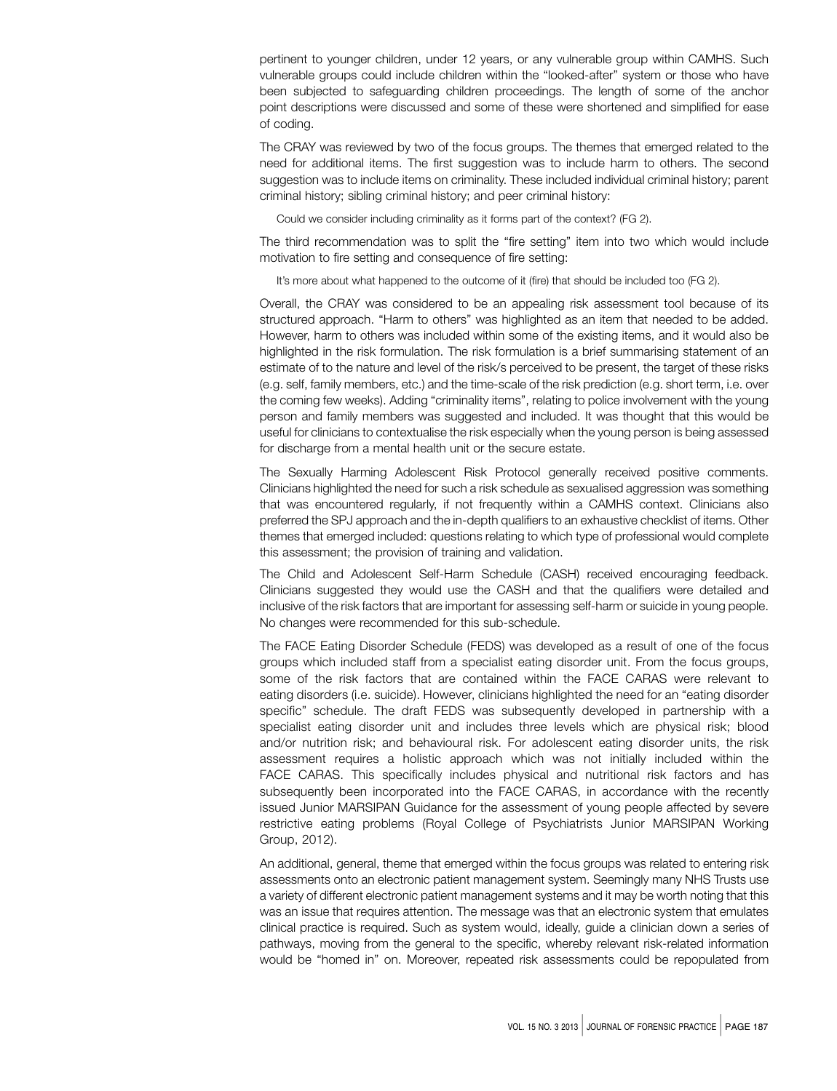pertinent to younger children, under 12 years, or any vulnerable group within CAMHS. Such vulnerable groups could include children within the "looked-after" system or those who have been subjected to safeguarding children proceedings. The length of some of the anchor point descriptions were discussed and some of these were shortened and simplified for ease of coding.

The CRAY was reviewed by two of the focus groups. The themes that emerged related to the need for additional items. The first suggestion was to include harm to others. The second suggestion was to include items on criminality. These included individual criminal history; parent criminal history; sibling criminal history; and peer criminal history:

Could we consider including criminality as it forms part of the context? (FG 2).

The third recommendation was to split the "fire setting" item into two which would include motivation to fire setting and consequence of fire setting:

It's more about what happened to the outcome of it (fire) that should be included too (FG 2).

Overall, the CRAY was considered to be an appealing risk assessment tool because of its structured approach. "Harm to others" was highlighted as an item that needed to be added. However, harm to others was included within some of the existing items, and it would also be highlighted in the risk formulation. The risk formulation is a brief summarising statement of an estimate of to the nature and level of the risk/s perceived to be present, the target of these risks (e.g. self, family members, etc.) and the time-scale of the risk prediction (e.g. short term, i.e. over the coming few weeks). Adding "criminality items", relating to police involvement with the young person and family members was suggested and included. It was thought that this would be useful for clinicians to contextualise the risk especially when the young person is being assessed for discharge from a mental health unit or the secure estate.

The Sexually Harming Adolescent Risk Protocol generally received positive comments. Clinicians highlighted the need for such a risk schedule as sexualised aggression was something that was encountered regularly, if not frequently within a CAMHS context. Clinicians also preferred the SPJ approach and the in-depth qualifiers to an exhaustive checklist of items. Other themes that emerged included: questions relating to which type of professional would complete this assessment; the provision of training and validation.

The Child and Adolescent Self-Harm Schedule (CASH) received encouraging feedback. Clinicians suggested they would use the CASH and that the qualifiers were detailed and inclusive of the risk factors that are important for assessing self-harm or suicide in young people. No changes were recommended for this sub-schedule.

The FACE Eating Disorder Schedule (FEDS) was developed as a result of one of the focus groups which included staff from a specialist eating disorder unit. From the focus groups, some of the risk factors that are contained within the FACE CARAS were relevant to eating disorders (i.e. suicide). However, clinicians highlighted the need for an "eating disorder specific" schedule. The draft FEDS was subsequently developed in partnership with a specialist eating disorder unit and includes three levels which are physical risk; blood and/or nutrition risk; and behavioural risk. For adolescent eating disorder units, the risk assessment requires a holistic approach which was not initially included within the FACE CARAS. This specifically includes physical and nutritional risk factors and has subsequently been incorporated into the FACE CARAS, in accordance with the recently issued Junior MARSIPAN Guidance for the assessment of young people affected by severe restrictive eating problems (Royal College of Psychiatrists Junior MARSIPAN Working Group, 2012).

An additional, general, theme that emerged within the focus groups was related to entering risk assessments onto an electronic patient management system. Seemingly many NHS Trusts use a variety of different electronic patient management systems and it may be worth noting that this was an issue that requires attention. The message was that an electronic system that emulates clinical practice is required. Such as system would, ideally, guide a clinician down a series of pathways, moving from the general to the specific, whereby relevant risk-related information would be "homed in" on. Moreover, repeated risk assessments could be repopulated from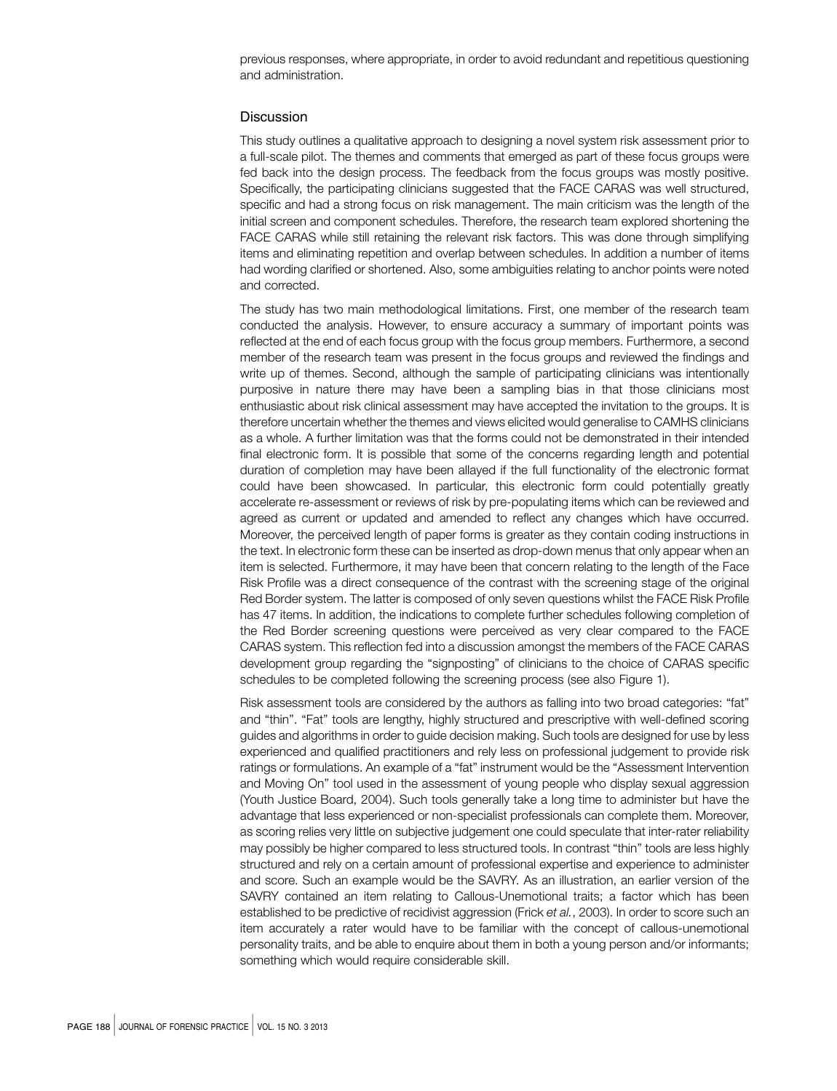previous responses, where appropriate, in order to avoid redundant and repetitious questioning and administration.

#### Discussion

This study outlines a qualitative approach to designing a novel system risk assessment prior to a full-scale pilot. The themes and comments that emerged as part of these focus groups were fed back into the design process. The feedback from the focus groups was mostly positive. Specifically, the participating clinicians suggested that the FACE CARAS was well structured, specific and had a strong focus on risk management. The main criticism was the length of the initial screen and component schedules. Therefore, the research team explored shortening the FACE CARAS while still retaining the relevant risk factors. This was done through simplifying items and eliminating repetition and overlap between schedules. In addition a number of items had wording clarified or shortened. Also, some ambiguities relating to anchor points were noted and corrected.

The study has two main methodological limitations. First, one member of the research team conducted the analysis. However, to ensure accuracy a summary of important points was reflected at the end of each focus group with the focus group members. Furthermore, a second member of the research team was present in the focus groups and reviewed the findings and write up of themes. Second, although the sample of participating clinicians was intentionally purposive in nature there may have been a sampling bias in that those clinicians most enthusiastic about risk clinical assessment may have accepted the invitation to the groups. It is therefore uncertain whether the themes and views elicited would generalise to CAMHS clinicians as a whole. A further limitation was that the forms could not be demonstrated in their intended final electronic form. It is possible that some of the concerns regarding length and potential duration of completion may have been allayed if the full functionality of the electronic format could have been showcased. In particular, this electronic form could potentially greatly accelerate re-assessment or reviews of risk by pre-populating items which can be reviewed and agreed as current or updated and amended to reflect any changes which have occurred. Moreover, the perceived length of paper forms is greater as they contain coding instructions in the text. In electronic form these can be inserted as drop-down menus that only appear when an item is selected. Furthermore, it may have been that concern relating to the length of the Face Risk Profile was a direct consequence of the contrast with the screening stage of the original Red Border system. The latter is composed of only seven questions whilst the FACE Risk Profile has 47 items. In addition, the indications to complete further schedules following completion of the Red Border screening questions were perceived as very clear compared to the FACE CARAS system. This reflection fed into a discussion amongst the members of the FACE CARAS development group regarding the "signposting" of clinicians to the choice of CARAS specific schedules to be completed following the screening process (see also Figure 1).

Risk assessment tools are considered by the authors as falling into two broad categories: "fat" and "thin". "Fat" tools are lengthy, highly structured and prescriptive with well-defined scoring guides and algorithms in order to guide decision making. Such tools are designed for use by less experienced and qualified practitioners and rely less on professional judgement to provide risk ratings or formulations. An example of a "fat" instrument would be the "Assessment Intervention and Moving On" tool used in the assessment of young people who display sexual aggression (Youth Justice Board, 2004). Such tools generally take a long time to administer but have the advantage that less experienced or non-specialist professionals can complete them. Moreover, as scoring relies very little on subjective judgement one could speculate that inter-rater reliability may possibly be higher compared to less structured tools. In contrast "thin" tools are less highly structured and rely on a certain amount of professional expertise and experience to administer and score. Such an example would be the SAVRY. As an illustration, an earlier version of the SAVRY contained an item relating to Callous-Unemotional traits; a factor which has been established to be predictive of recidivist aggression (Frick et al., 2003). In order to score such an item accurately a rater would have to be familiar with the concept of callous-unemotional personality traits, and be able to enquire about them in both a young person and/or informants; something which would require considerable skill.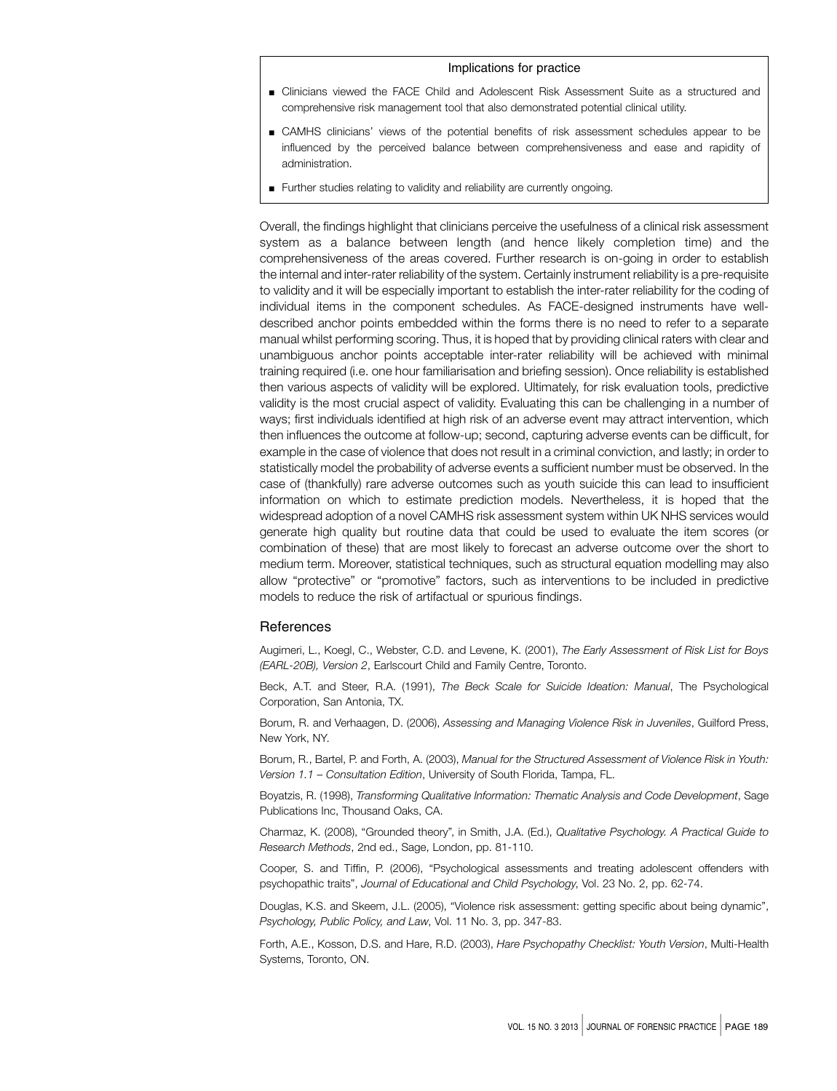#### Implications for practice

- ' Clinicians viewed the FACE Child and Adolescent Risk Assessment Suite as a structured and comprehensive risk management tool that also demonstrated potential clinical utility.
- CAMHS clinicians' views of the potential benefits of risk assessment schedules appear to be influenced by the perceived balance between comprehensiveness and ease and rapidity of administration.
- ' Further studies relating to validity and reliability are currently ongoing.

Overall, the findings highlight that clinicians perceive the usefulness of a clinical risk assessment system as a balance between length (and hence likely completion time) and the comprehensiveness of the areas covered. Further research is on-going in order to establish the internal and inter-rater reliability of the system. Certainly instrument reliability is a pre-requisite to validity and it will be especially important to establish the inter-rater reliability for the coding of individual items in the component schedules. As FACE-designed instruments have welldescribed anchor points embedded within the forms there is no need to refer to a separate manual whilst performing scoring. Thus, it is hoped that by providing clinical raters with clear and unambiguous anchor points acceptable inter-rater reliability will be achieved with minimal training required (i.e. one hour familiarisation and briefing session). Once reliability is established then various aspects of validity will be explored. Ultimately, for risk evaluation tools, predictive validity is the most crucial aspect of validity. Evaluating this can be challenging in a number of ways; first individuals identified at high risk of an adverse event may attract intervention, which then influences the outcome at follow-up; second, capturing adverse events can be difficult, for example in the case of violence that does not result in a criminal conviction, and lastly; in order to statistically model the probability of adverse events a sufficient number must be observed. In the case of (thankfully) rare adverse outcomes such as youth suicide this can lead to insufficient information on which to estimate prediction models. Nevertheless, it is hoped that the widespread adoption of a novel CAMHS risk assessment system within UK NHS services would generate high quality but routine data that could be used to evaluate the item scores (or combination of these) that are most likely to forecast an adverse outcome over the short to medium term. Moreover, statistical techniques, such as structural equation modelling may also allow "protective" or "promotive" factors, such as interventions to be included in predictive models to reduce the risk of artifactual or spurious findings.

#### **References**

Augimeri, L., Koegl, C., Webster, C.D. and Levene, K. (2001), The Early Assessment of Risk List for Boys (EARL-20B), Version 2, Earlscourt Child and Family Centre, Toronto.

Beck, A.T. and Steer, R.A. (1991), The Beck Scale for Suicide Ideation: Manual, The Psychological Corporation, San Antonia, TX.

Borum, R. and Verhaagen, D. (2006), Assessing and Managing Violence Risk in Juveniles, Guilford Press, New York, NY.

Borum, R., Bartel, P. and Forth, A. (2003), Manual for the Structured Assessment of Violence Risk in Youth: Version 1.1 – Consultation Edition, University of South Florida, Tampa, FL.

Boyatzis, R. (1998), Transforming Qualitative Information: Thematic Analysis and Code Development, Sage Publications Inc, Thousand Oaks, CA.

Charmaz, K. (2008), "Grounded theory", in Smith, J.A. (Ed.), Qualitative Psychology. A Practical Guide to Research Methods, 2nd ed., Sage, London, pp. 81-110.

Cooper, S. and Tiffin, P. (2006), "Psychological assessments and treating adolescent offenders with psychopathic traits", Journal of Educational and Child Psychology, Vol. 23 No. 2, pp. 62-74.

Douglas, K.S. and Skeem, J.L. (2005), "Violence risk assessment: getting specific about being dynamic", Psychology, Public Policy, and Law, Vol. 11 No. 3, pp. 347-83.

Forth, A.E., Kosson, D.S. and Hare, R.D. (2003), Hare Psychopathy Checklist: Youth Version, Multi-Health Systems, Toronto, ON.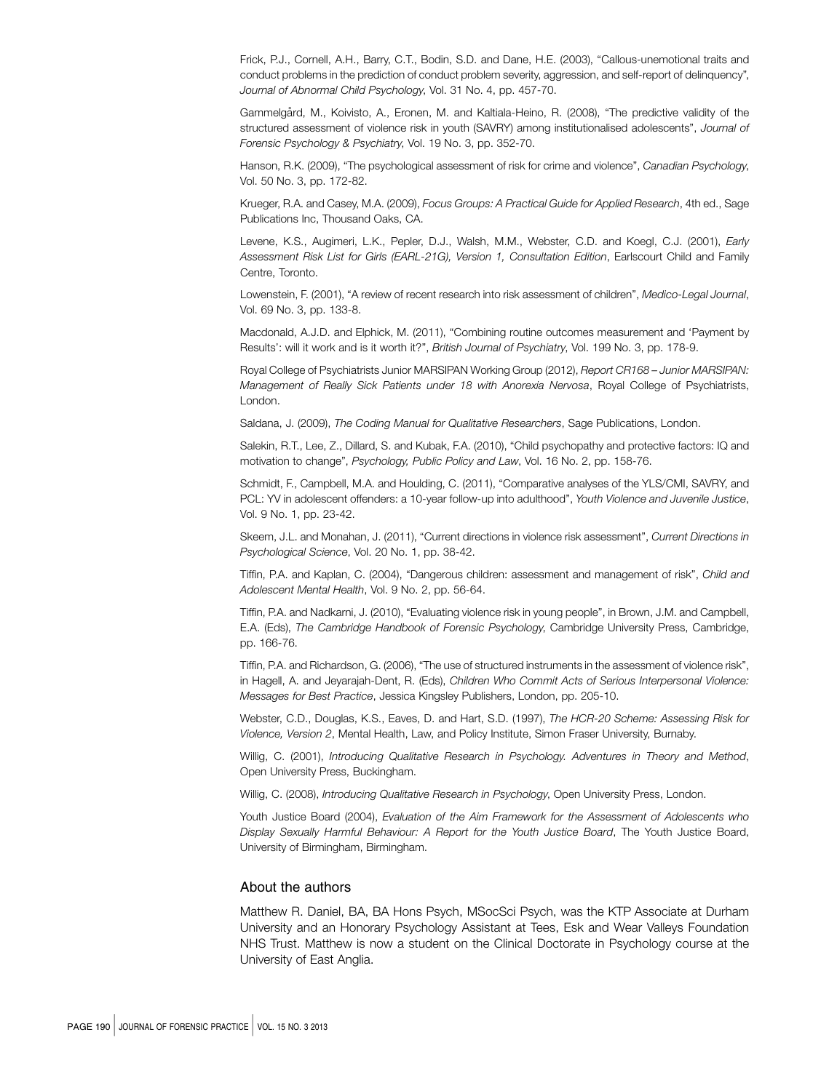Frick, P.J., Cornell, A.H., Barry, C.T., Bodin, S.D. and Dane, H.E. (2003), "Callous-unemotional traits and conduct problems in the prediction of conduct problem severity, aggression, and self-report of delinquency", Journal of Abnormal Child Psychology, Vol. 31 No. 4, pp. 457-70.

Gammelgård, M., Koivisto, A., Eronen, M. and Kaltiala-Heino, R. (2008), "The predictive validity of the structured assessment of violence risk in youth (SAVRY) among institutionalised adolescents", Journal of Forensic Psychology & Psychiatry, Vol. 19 No. 3, pp. 352-70.

Hanson, R.K. (2009), "The psychological assessment of risk for crime and violence", Canadian Psychology, Vol. 50 No. 3, pp. 172-82.

Krueger, R.A. and Casey, M.A. (2009), Focus Groups: A Practical Guide for Applied Research, 4th ed., Sage Publications Inc, Thousand Oaks, CA.

Levene, K.S., Augimeri, L.K., Pepler, D.J., Walsh, M.M., Webster, C.D. and Koegl, C.J. (2001), Early Assessment Risk List for Girls (EARL-21G), Version 1, Consultation Edition, Earlscourt Child and Family Centre, Toronto.

Lowenstein, F. (2001), "A review of recent research into risk assessment of children", Medico-Legal Journal, Vol. 69 No. 3, pp. 133-8.

Macdonald, A.J.D. and Elphick, M. (2011), "Combining routine outcomes measurement and 'Payment by Results': will it work and is it worth it?", British Journal of Psychiatry, Vol. 199 No. 3, pp. 178-9.

Royal College of Psychiatrists Junior MARSIPAN Working Group (2012), Report CR168 – Junior MARSIPAN: Management of Really Sick Patients under 18 with Anorexia Nervosa, Royal College of Psychiatrists, London.

Saldana, J. (2009), The Coding Manual for Qualitative Researchers, Sage Publications, London.

Salekin, R.T., Lee, Z., Dillard, S. and Kubak, F.A. (2010), "Child psychopathy and protective factors: IQ and motivation to change", Psychology, Public Policy and Law, Vol. 16 No. 2, pp. 158-76.

Schmidt, F., Campbell, M.A. and Houlding, C. (2011), "Comparative analyses of the YLS/CMI, SAVRY, and PCL: YV in adolescent offenders: a 10-year follow-up into adulthood", Youth Violence and Juvenile Justice, Vol. 9 No. 1, pp. 23-42.

Skeem, J.L. and Monahan, J. (2011), "Current directions in violence risk assessment", Current Directions in Psychological Science, Vol. 20 No. 1, pp. 38-42.

Tiffin, P.A. and Kaplan, C. (2004), "Dangerous children: assessment and management of risk", Child and Adolescent Mental Health, Vol. 9 No. 2, pp. 56-64.

Tiffin, P.A. and Nadkarni, J. (2010), "Evaluating violence risk in young people", in Brown, J.M. and Campbell, E.A. (Eds), The Cambridge Handbook of Forensic Psychology, Cambridge University Press, Cambridge, pp. 166-76.

Tiffin, P.A. and Richardson, G. (2006), "The use of structured instruments in the assessment of violence risk", in Hagell, A. and Jeyarajah-Dent, R. (Eds), Children Who Commit Acts of Serious Interpersonal Violence: Messages for Best Practice, Jessica Kingsley Publishers, London, pp. 205-10.

Webster, C.D., Douglas, K.S., Eaves, D. and Hart, S.D. (1997), The HCR-20 Scheme: Assessing Risk for Violence, Version 2, Mental Health, Law, and Policy Institute, Simon Fraser University, Burnaby.

Willig, C. (2001), Introducing Qualitative Research in Psychology. Adventures in Theory and Method, Open University Press, Buckingham.

Willig, C. (2008), Introducing Qualitative Research in Psychology, Open University Press, London.

Youth Justice Board (2004), Evaluation of the Aim Framework for the Assessment of Adolescents who Display Sexually Harmful Behaviour: A Report for the Youth Justice Board, The Youth Justice Board, University of Birmingham, Birmingham.

#### About the authors

Matthew R. Daniel, BA, BA Hons Psych, MSocSci Psych, was the KTP Associate at Durham University and an Honorary Psychology Assistant at Tees, Esk and Wear Valleys Foundation NHS Trust. Matthew is now a student on the Clinical Doctorate in Psychology course at the University of East Anglia.